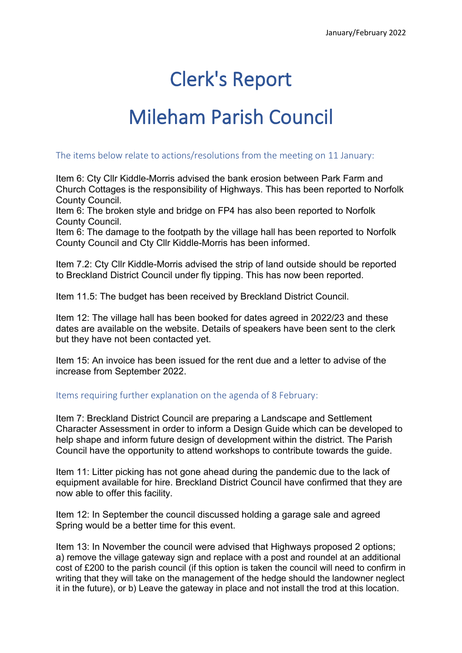## Clerk's Report

## Mileham Parish Council

## The items below relate to actions/resolutions from the meeting on 11 January:

Item 6: Cty Cllr Kiddle-Morris advised the bank erosion between Park Farm and Church Cottages is the responsibility of Highways. This has been reported to Norfolk County Council.

Item 6: The broken style and bridge on FP4 has also been reported to Norfolk County Council.

Item 6: The damage to the footpath by the village hall has been reported to Norfolk County Council and Cty Cllr Kiddle-Morris has been informed.

Item 7.2: Cty Cllr Kiddle-Morris advised the strip of land outside should be reported to Breckland District Council under fly tipping. This has now been reported.

Item 11.5: The budget has been received by Breckland District Council.

Item 12: The village hall has been booked for dates agreed in 2022/23 and these dates are available on the website. Details of speakers have been sent to the clerk but they have not been contacted yet.

Item 15: An invoice has been issued for the rent due and a letter to advise of the increase from September 2022.

## Items requiring further explanation on the agenda of 8 February:

Item 7: Breckland District Council are preparing a Landscape and Settlement Character Assessment in order to inform a Design Guide which can be developed to help shape and inform future design of development within the district. The Parish Council have the opportunity to attend workshops to contribute towards the guide.

Item 11: Litter picking has not gone ahead during the pandemic due to the lack of equipment available for hire. Breckland District Council have confirmed that they are now able to offer this facility.

Item 12: In September the council discussed holding a garage sale and agreed Spring would be a better time for this event.

Item 13: In November the council were advised that Highways proposed 2 options; a) remove the village gateway sign and replace with a post and roundel at an additional cost of £200 to the parish council (if this option is taken the council will need to confirm in writing that they will take on the management of the hedge should the landowner neglect it in the future), or b) Leave the gateway in place and not install the trod at this location.